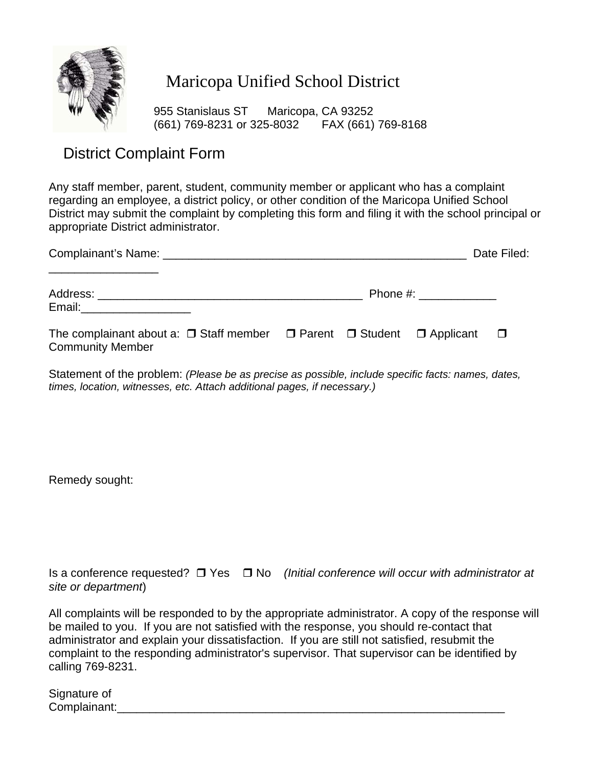

## Maricopa Unified School District

 955 Stanislaus ST Maricopa, CA 93252 (661) 769-8231 or 325-8032 FAX (661) 769-8168

## District Complaint Form

Any staff member, parent, student, community member or applicant who has a complaint regarding an employee, a district policy, or other condition of the Maricopa Unified School District may submit the complaint by completing this form and filing it with the school principal or appropriate District administrator.

|                                                                                                                       |                        |  |  | Date Filed: |
|-----------------------------------------------------------------------------------------------------------------------|------------------------|--|--|-------------|
| Email:_______________________                                                                                         | Phone #: $\sqrt{2\pi}$ |  |  |             |
| The complainant about a: $\Box$ Staff member $\Box$ Parent $\Box$ Student $\Box$ Applicant<br><b>Community Member</b> |                        |  |  | $\Box$      |

Statement of the problem: *(Please be as precise as possible, include specific facts: names, dates, times, location, witnesses, etc. Attach additional pages, if necessary.)* 

Remedy sought:

Is a conference requested? □ Yes □ No *(Initial conference will occur with administrator at site or department*)

All complaints will be responded to by the appropriate administrator. A copy of the response will be mailed to you. If you are not satisfied with the response, you should re-contact that administrator and explain your dissatisfaction. If you are still not satisfied, resubmit the complaint to the responding administrator's supervisor. That supervisor can be identified by calling 769-8231.

Signature of Complainant: